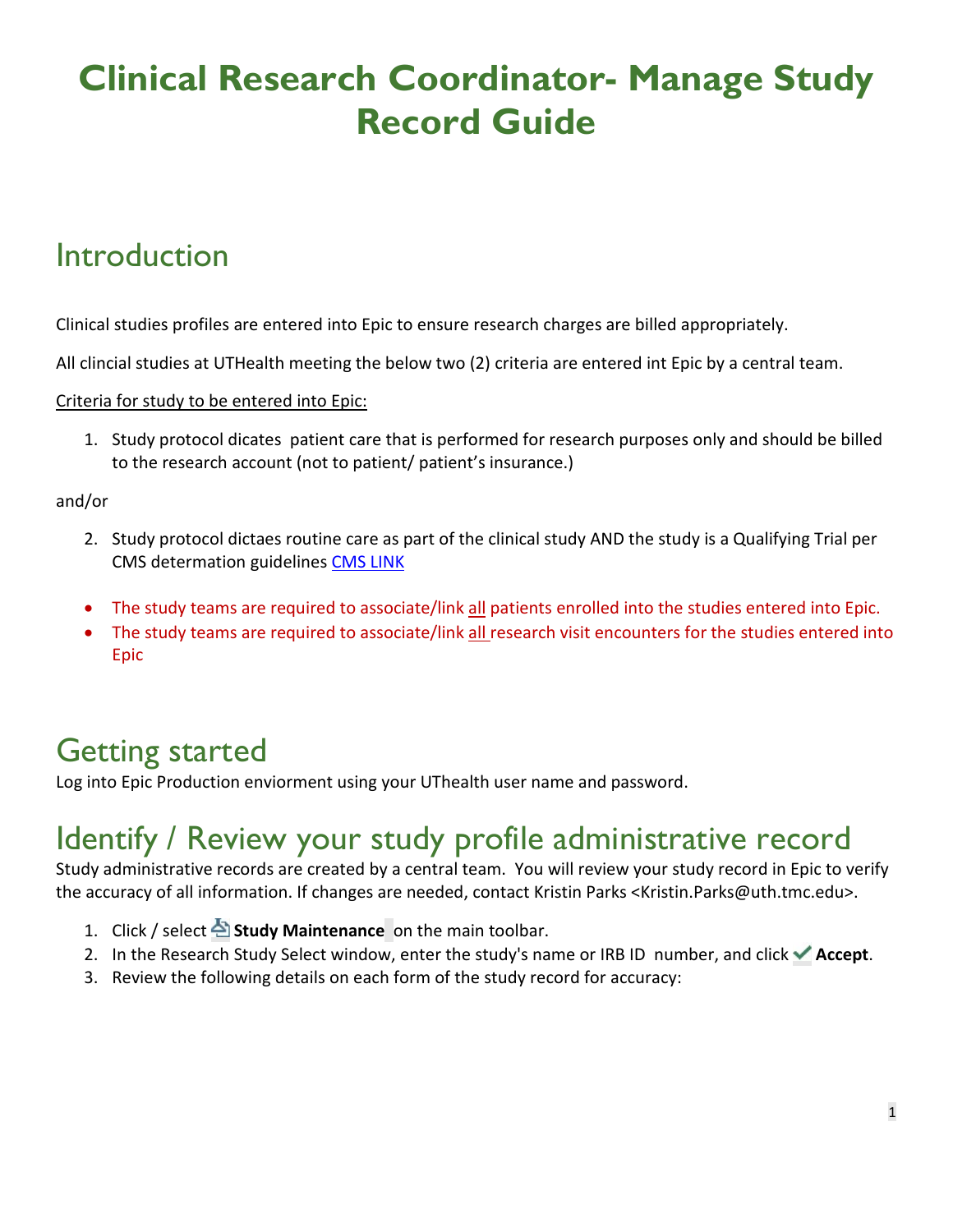# **Clinical Research Coordinator- Manage Study Record Guide**

## Introduction

Clinical studies profiles are entered into Epic to ensure research charges are billed appropriately.

All clincial studies at UTHealth meeting the below two (2) criteria are entered int Epic by a central team.

Criteria for study to be entered into Epic:

1. Study protocol dicates patient care that is performed for research purposes only and should be billed to the research account (not to patient/ patient's insurance.)

and/or

- 2. Study protocol dictaes routine care as part of the clinical study AND the study is a Qualifying Trial per CMS determation guidelines [CMS LINK](https://www.cms.gov/Regulations-and-Guidance/Guidance/Manuals/Internet-Only-Manuals-IOMs-Items/CMS014961)
- The study teams are required to associate/link all patients enrolled into the studies entered into Epic.
- The study teams are required to associate/link all research visit encounters for the studies entered into Epic

## Getting started

Log into Epic Production enviorment using your UThealth user name and password.

## Identify / Review your study profile administrative record

Study administrative records are created by a central team. You will review your study record in Epic to verify the accuracy of all information. If changes are needed, contact Kristin Parks <Kristin.Parks@uth.tmc.edu>.

- 1. Click / select **Study Maintenance** on the main toolbar.
- 2. In the Research Study Select window, enter the study's name or IRB ID number, and click **Accept**.
- 3. Review the following details on each form of the study record for accuracy: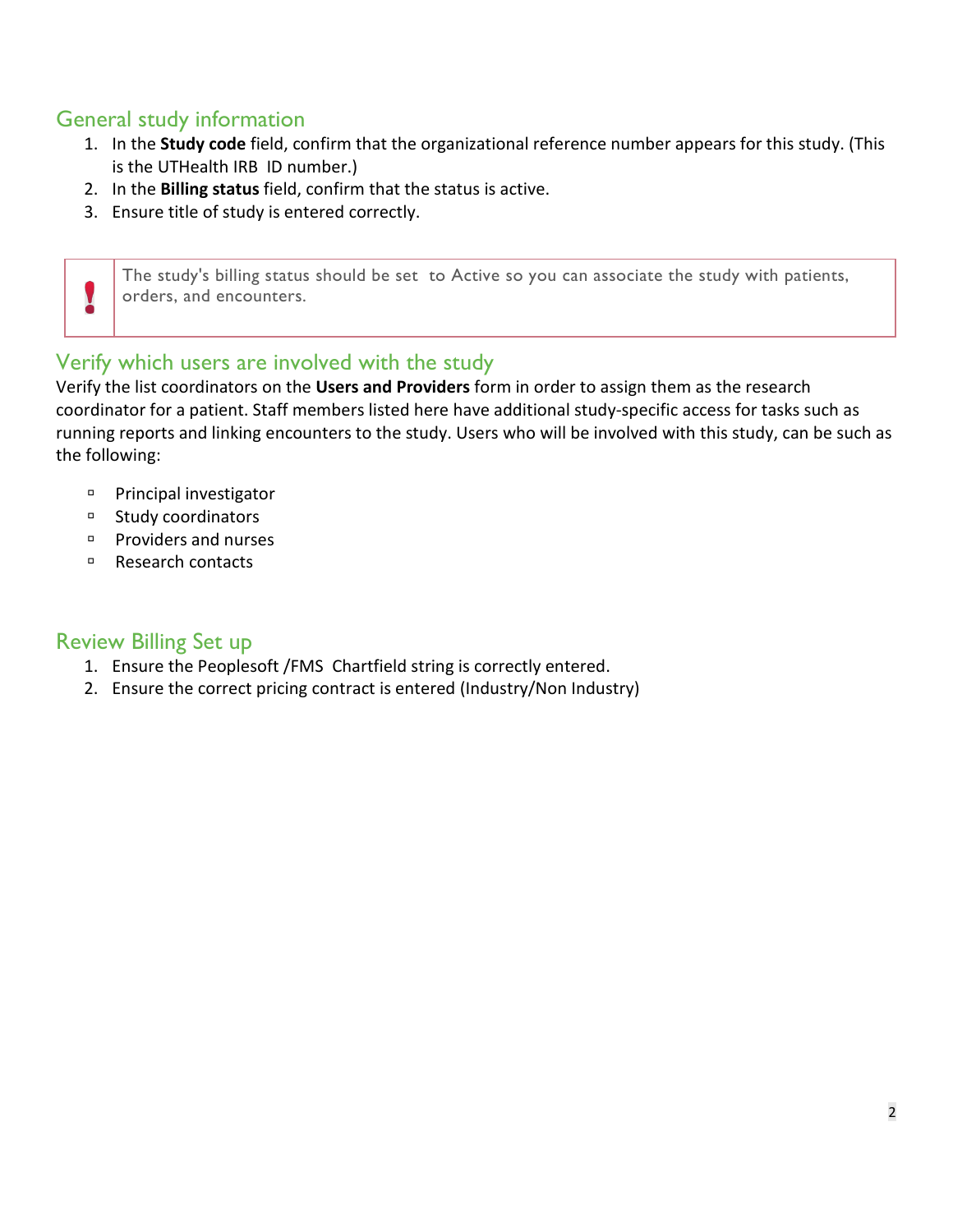### General study information

- 1. In the **Study code** field, confirm that the organizational reference number appears for this study. (This is the UTHealth IRB ID number.)
- 2. In the **Billing status** field, confirm that the status is active.
- 3. Ensure title of study is entered correctly.

The study's billing status should be set to Active so you can associate the study with patients, orders, and encounters.

### Verify which users are involved with the study

Verify the list coordinators on the **Users and Providers** form in order to assign them as the research coordinator for a patient. Staff members listed here have additional study-specific access for tasks such as running reports and linking encounters to the study. Users who will be involved with this study, can be such as the following:

- **Principal investigator**
- <sup>D</sup> Study coordinators

Y

- Providers and nurses
- □ Research contacts

### Review Billing Set up

- 1. Ensure the Peoplesoft /FMS Chartfield string is correctly entered.
- 2. Ensure the correct pricing contract is entered (Industry/Non Industry)